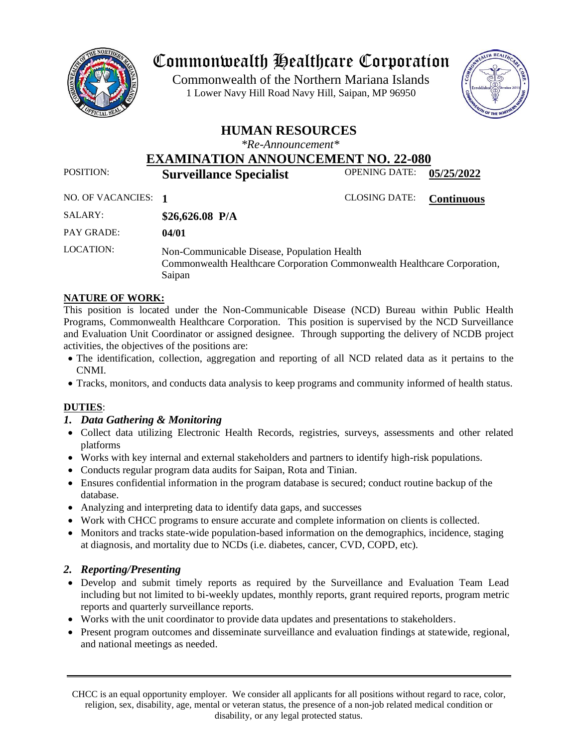

# Commonwealth Healthcare Corporation

 1 Lower Navy Hill Road Navy Hill, Saipan, MP 96950Commonwealth of the Northern Mariana Islands



# **HUMAN RESOURCES**

*\*Re-Announcement\**

**EXAMINATION ANNOUNCEMENT NO. 22-080**

POSITION: **Surveillance Specialist** OPENING DATE: **05/25/2022**

NO. OF VACANCIES: **1** CLOSING DATE: **Continuous**

| SALARY:           | \$26,626.08 $P/A$                                                                                                                 |
|-------------------|-----------------------------------------------------------------------------------------------------------------------------------|
| <b>PAY GRADE:</b> | 04/01                                                                                                                             |
| LOCATION:         | Non-Communicable Disease, Population Health<br>Commonwealth Healthcare Corporation Commonwealth Healthcare Corporation,<br>Saipan |

# **NATURE OF WORK:**

This position is located under the Non-Communicable Disease (NCD) Bureau within Public Health Programs, Commonwealth Healthcare Corporation. This position is supervised by the NCD Surveillance and Evaluation Unit Coordinator or assigned designee. Through supporting the delivery of NCDB project activities, the objectives of the positions are:

- The identification, collection, aggregation and reporting of all NCD related data as it pertains to the CNMI.
- Tracks, monitors, and conducts data analysis to keep programs and community informed of health status.

# **DUTIES**:

# *1. Data Gathering & Monitoring*

- Collect data utilizing Electronic Health Records, registries, surveys, assessments and other related platforms
- Works with key internal and external stakeholders and partners to identify high-risk populations.
- Conducts regular program data audits for Saipan, Rota and Tinian.
- Ensures confidential information in the program database is secured; conduct routine backup of the database.
- Analyzing and interpreting data to identify data gaps, and successes
- Work with CHCC programs to ensure accurate and complete information on clients is collected.
- Monitors and tracks state-wide population-based information on the demographics, incidence, staging at diagnosis, and mortality due to NCDs (i.e. diabetes, cancer, CVD, COPD, etc).

# *2. Reporting/Presenting*

- Develop and submit timely reports as required by the Surveillance and Evaluation Team Lead including but not limited to bi-weekly updates, monthly reports, grant required reports, program metric reports and quarterly surveillance reports.
- Works with the unit coordinator to provide data updates and presentations to stakeholders.
- Present program outcomes and disseminate surveillance and evaluation findings at statewide, regional, and national meetings as needed.

CHCC is an equal opportunity employer. We consider all applicants for all positions without regard to race, color, religion, sex, disability, age, mental or veteran status, the presence of a non-job related medical condition or disability, or any legal protected status.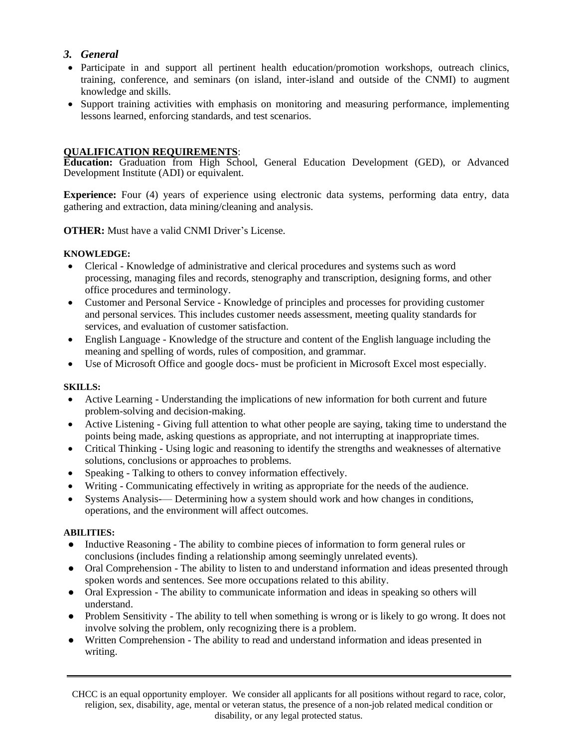# *3. General*

- Participate in and support all pertinent health education/promotion workshops, outreach clinics, training, conference, and seminars (on island, inter-island and outside of the CNMI) to augment knowledge and skills.
- Support training activities with emphasis on monitoring and measuring performance, implementing lessons learned, enforcing standards, and test scenarios.

### **QUALIFICATION REQUIREMENTS**:

**Education:** Graduation from High School, General Education Development (GED), or Advanced Development Institute (ADI) or equivalent.

**Experience:** Four (4) years of experience using electronic data systems, performing data entry, data gathering and extraction, data mining/cleaning and analysis.

**OTHER:** Must have a valid CNMI Driver's License.

#### **KNOWLEDGE:**

- Clerical Knowledge of administrative and clerical procedures and systems such as word processing, managing files and records, stenography and transcription, designing forms, and other office procedures and terminology.
- Customer and Personal Service Knowledge of principles and processes for providing customer and personal services. This includes customer needs assessment, meeting quality standards for services, and evaluation of customer satisfaction.
- English Language Knowledge of the structure and content of the English language including the meaning and spelling of words, rules of composition, and grammar.
- Use of Microsoft Office and google docs- must be proficient in Microsoft Excel most especially.

#### **SKILLS:**

- Active Learning Understanding the implications of new information for both current and future problem-solving and decision-making.
- Active Listening Giving full attention to what other people are saying, taking time to understand the points being made, asking questions as appropriate, and not interrupting at inappropriate times.
- Critical Thinking Using logic and reasoning to identify the strengths and weaknesses of alternative solutions, conclusions or approaches to problems.
- Speaking Talking to others to convey information effectively.
- Writing Communicating effectively in writing as appropriate for the needs of the audience.
- Systems Analysis-— Determining how a system should work and how changes in conditions, operations, and the environment will affect outcomes.

#### **ABILITIES:**

- Inductive Reasoning The ability to combine pieces of information to form general rules or conclusions (includes finding a relationship among seemingly unrelated events).
- Oral Comprehension The ability to listen to and understand information and ideas presented through spoken words and sentences. See more occupations related to this ability.
- Oral Expression The ability to communicate information and ideas in speaking so others will understand.
- Problem Sensitivity The ability to tell when something is wrong or is likely to go wrong. It does not involve solving the problem, only recognizing there is a problem.
- Written Comprehension The ability to read and understand information and ideas presented in writing.

CHCC is an equal opportunity employer. We consider all applicants for all positions without regard to race, color, religion, sex, disability, age, mental or veteran status, the presence of a non-job related medical condition or disability, or any legal protected status.